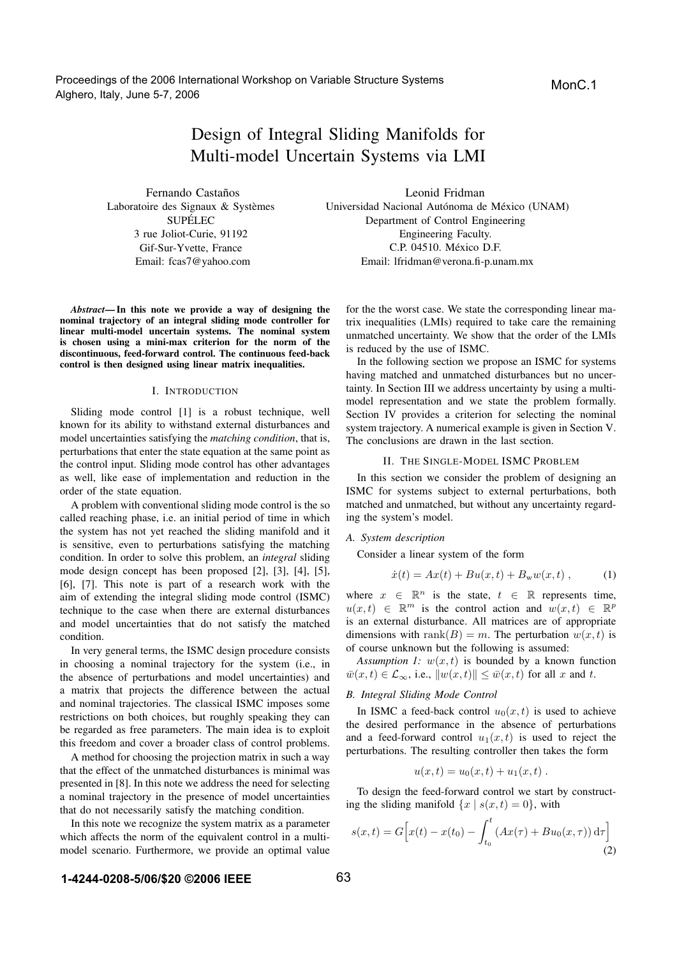Proceedings of the 2006 International Workshop on Variable Structure Systems Alghero, Italy, June 5-7, 2006

# Design of Integral Sliding Manifolds for Multi-model Uncertain Systems via LMI

Fernando Castaños Laboratoire des Signaux & Systèmes **SUPÉLEC** 3 rue Joliot-Curie, 91192 Gif-Sur-Yvette, France Email: fcas7@yahoo.com

*Abstract***— In this note we provide a way of designing the nominal trajectory of an integral sliding mode controller for linear multi-model uncertain systems. The nominal system is chosen using a mini-max criterion for the norm of the discontinuous, feed-forward control. The continuous feed-back control is then designed using linear matrix inequalities.**

## I. INTRODUCTION

Sliding mode control [1] is a robust technique, well known for its ability to withstand external disturbances and model uncertainties satisfying the *matching condition*, that is, perturbations that enter the state equation at the same point as the control input. Sliding mode control has other advantages as well, like ease of implementation and reduction in the order of the state equation.

A problem with conventional sliding mode control is the so called reaching phase, i.e. an initial period of time in which the system has not yet reached the sliding manifold and it is sensitive, even to perturbations satisfying the matching condition. In order to solve this problem, an *integral* sliding mode design concept has been proposed [2], [3], [4], [5], [6], [7]. This note is part of a research work with the aim of extending the integral sliding mode control (ISMC) technique to the case when there are external disturbances and model uncertainties that do not satisfy the matched condition.

In very general terms, the ISMC design procedure consists in choosing a nominal trajectory for the system (i.e., in the absence of perturbations and model uncertainties) and a matrix that projects the difference between the actual and nominal trajectories. The classical ISMC imposes some restrictions on both choices, but roughly speaking they can be regarded as free parameters. The main idea is to exploit this freedom and cover a broader class of control problems.

A method for choosing the projection matrix in such a way that the effect of the unmatched disturbances is minimal was presented in [8]. In this note we address the need for selecting a nominal trajectory in the presence of model uncertainties that do not necessarily satisfy the matching condition.

In this note we recognize the system matrix as a parameter which affects the norm of the equivalent control in a multimodel scenario. Furthermore, we provide an optimal value

Leonid Fridman Universidad Nacional Autónoma de México (UNAM) Department of Control Engineering Engineering Faculty. C.P. 04510. México D.F. Email: lfridman@verona.fi-p.unam.mx

for the the worst case. We state the corresponding linear matrix inequalities (LMIs) required to take care the remaining unmatched uncertainty. We show that the order of the LMIs is reduced by the use of ISMC.

In the following section we propose an ISMC for systems having matched and unmatched disturbances but no uncertainty. In Section III we address uncertainty by using a multimodel representation and we state the problem formally. Section IV provides a criterion for selecting the nominal system trajectory. A numerical example is given in Section V. The conclusions are drawn in the last section.

#### II. THE SINGLE-MODEL ISMC PROBLEM

In this section we consider the problem of designing an ISMC for systems subject to external perturbations, both matched and unmatched, but without any uncertainty regarding the system's model.

#### *A. System description*

Consider a linear system of the form

$$
\dot{x}(t) = Ax(t) + Bu(x, t) + B_{\rm w}w(x, t) , \qquad (1)
$$

where  $x \in \mathbb{R}^n$  is the state,  $t \in \mathbb{R}$  represents time,  $u(x, t) \in \mathbb{R}^m$  is the control action and  $w(x, t) \in \mathbb{R}^p$ is an external disturbance. All matrices are of appropriate dimensions with rank(B) = m. The perturbation  $w(x, t)$  is of course unknown but the following is assumed:

*Assumption 1:*  $w(x, t)$  is bounded by a known function  $\overline{w}(x, t) \in \mathcal{L}_{\infty}$ , i.e.,  $||w(x, t)|| \leq \overline{w}(x, t)$  for all x and t.

#### *B. Integral Sliding Mode Control*

In ISMC a feed-back control  $u_0(x, t)$  is used to achieve the desired performance in the absence of perturbations and a feed-forward control  $u_1(x, t)$  is used to reject the perturbations. The resulting controller then takes the form

$$
u(x,t) = u_0(x,t) + u_1(x,t) .
$$

To design the feed-forward control we start by constructing the sliding manifold  $\{x \mid s(x,t)=0\}$ , with

$$
s(x,t) = G\Big[x(t) - x(t_0) - \int_{t_0}^t (Ax(\tau) + Bu_0(x,\tau)) d\tau\Big]
$$
\n(2)

## **1-4244-0208-5/06/\$20 ©2006 IEEE**

MonC.1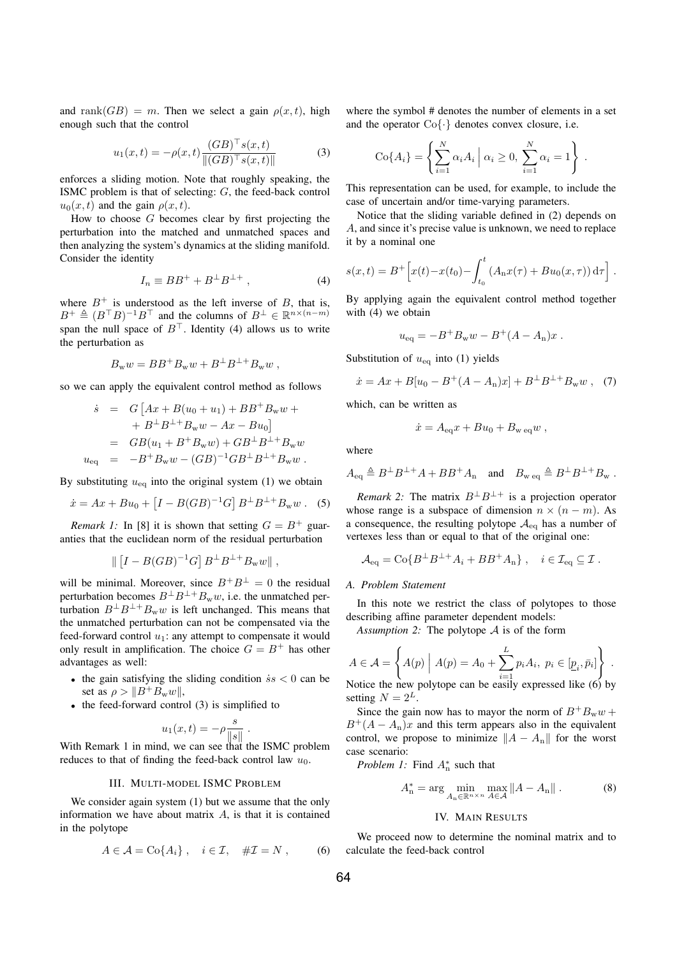and rank(GB) = m. Then we select a gain  $\rho(x, t)$ , high enough such that the control

$$
u_1(x,t) = -\rho(x,t) \frac{(GB)^{\top} s(x,t)}{\|(GB)^{\top} s(x,t)\|}
$$
(3)

enforces a sliding motion. Note that roughly speaking, the ISMC problem is that of selecting: G, the feed-back control  $u_0(x, t)$  and the gain  $\rho(x, t)$ .

How to choose  $G$  becomes clear by first projecting the perturbation into the matched and unmatched spaces and then analyzing the system's dynamics at the sliding manifold. Consider the identity

$$
I_n \equiv BB^+ + B^\perp B^{\perp +} \,,\tag{4}
$$

where  $B^+$  is understood as the left inverse of B, that is,  $B^+ \triangleq (B^{\top}B)^{-1}B^{\top}$  and the columns of  $B^{\perp} \in \mathbb{R}^{n \times (n-m)}$ span the null space of  $B^{\top}$ . Identity (4) allows us to write the perturbation as

$$
B_{\rm w}w = BB^+B_{\rm w}w + B^\perp B^{\perp+}B_{\rm w}w ,
$$

so we can apply the equivalent control method as follows

$$
\dot{s} = G [Ax + B(u_0 + u_1) + BB^+ B_w w ++ B^{\perp} B^{\perp +} B_w w - Ax - Bu_0] = GB(u_1 + B^+ B_w w) + GB^{\perp} B^{\perp +} B_w w u_{\text{eq}} = -B^+ B_w w - (GB)^{-1} GB^{\perp} B^{\perp +} B_w w .
$$

By substituting  $u_{\text{eq}}$  into the original system (1) we obtain

$$
\dot{x} = Ax + Bu_0 + [I - B(GB)^{-1}G] B^{\perp} B^{\perp} + B_{\rm w} w .
$$
 (5)

*Remark 1:* In [8] it is shown that setting  $G = B^+$  guaranties that the euclidean norm of the residual perturbation

$$
\left| \left[ I - B(GB)^{-1}G \right] B^{\perp} B^{\perp+} B_{\rm w} w \right| ,
$$

will be minimal. Moreover, since  $B^+B^{\perp} = 0$  the residual perturbation becomes  $B^{\perp}B^{\perp}+B_{\rm w}w$ , i.e. the unmatched perturbation  $B^{\perp}B^{\perp}+B_{\rm w}w$  is left unchanged. This means that the unmatched perturbation can not be compensated via the feed-forward control  $u_1$ : any attempt to compensate it would only result in amplification. The choice  $G = B^+$  has other advantages as well:

- the gain satisfying the sliding condition  $\dot{s}s < 0$  can be set as  $\rho > ||B^+B_w w||$ ,
- the feed-forward control (3) is simplified to

$$
u_1(x,t) = -\rho \frac{s}{\|s\|}.
$$

With Remark 1 in mind, we can see that the ISMC problem reduces to that of finding the feed-back control law  $u_0$ .

#### III. MULTI-MODEL ISMC PROBLEM

We consider again system (1) but we assume that the only information we have about matrix  $A$ , is that it is contained in the polytope

$$
A \in \mathcal{A} = \text{Co}\{A_i\}, \quad i \in \mathcal{I}, \quad \# \mathcal{I} = N , \tag{6}
$$

where the symbol # denotes the number of elements in a set and the operator  $Co\{\cdot\}$  denotes convex closure, i.e.

$$
Co{Ai} = \left\{\sum_{i=1}^{N} \alpha_i A_i \mid \alpha_i \ge 0, \sum_{i=1}^{N} \alpha_i = 1\right\}.
$$

This representation can be used, for example, to include the case of uncertain and/or time-varying parameters.

Notice that the sliding variable defined in (2) depends on A, and since it's precise value is unknown, we need to replace it by a nominal one

$$
s(x,t) = B^{+} \Big[ x(t) - x(t_0) - \int_{t_0}^t (A_n x(\tau) + B u_0(x,\tau)) d\tau \Big] .
$$

By applying again the equivalent control method together with (4) we obtain

$$
u_{\text{eq}} = -B^+B_{\text{w}}w - B^+(A - A_{\text{n}})x.
$$

Substitution of  $u_{eq}$  into (1) yields

$$
\dot{x} = Ax + B[u_0 - B^+(A - A_n)x] + B^{\perp}B^{\perp} + B_{\rm w}w \ , \tag{7}
$$

which, can be written as

$$
\dot{x} = A_{\text{eq}}x + Bu_0 + B_{\text{w eq}}w,
$$

where

$$
A_{\text{eq}} \triangleq B^{\perp}B^{\perp+}A + BB^+A_n \quad \text{and} \quad B_{\text{w eq}} \triangleq B^{\perp}B^{\perp+}B_{\text{w}}.
$$

*Remark 2:* The matrix  $B^{\perp}B^{\perp+}$  is a projection operator whose range is a subspace of dimension  $n \times (n - m)$ . As a consequence, the resulting polytope  $A_{eq}$  has a number of vertexes less than or equal to that of the original one:

$$
\mathcal{A}_{\text{eq}} = \text{Co}\{B^{\perp}B^{\perp+}A_i + BB^{\perp}A_n\}, \quad i \in \mathcal{I}_{\text{eq}} \subseteq \mathcal{I}.
$$

#### *A. Problem Statement*

In this note we restrict the class of polytopes to those describing affine parameter dependent models:

*Assumption 2:* The polytope A is of the form

$$
A \in \mathcal{A} = \left\{ A(p) \mid A(p) = A_0 + \sum_{i=1}^{L} p_i A_i, \ p_i \in [\underline{p}_i, \bar{p}_i] \right\}.
$$

Notice the new polytope can be easily expressed like (6) by setting 
$$
N = 2^L
$$
.

Since the gain now has to mayor the norm of  $B^+B_ww$  +  $B^+(A - A_n)x$  and this term appears also in the equivalent control, we propose to minimize  $||A - A_n||$  for the worst case scenario:

*Problem 1:* Find  $A_n^*$  such that

$$
A_n^* = \arg\min_{A_n \in \mathbb{R}^{n \times n}} \max_{A \in \mathcal{A}} \|A - A_n\|.
$$
 (8)

#### IV. MAIN RESULTS

We proceed now to determine the nominal matrix and to calculate the feed-back control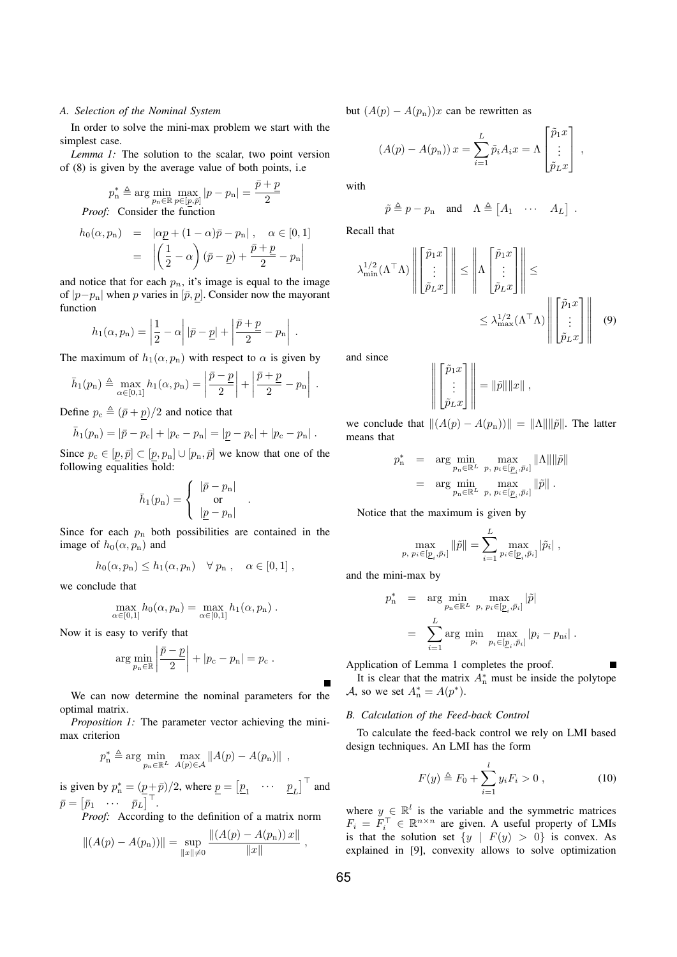## *A. Selection of the Nominal System*

In order to solve the mini-max problem we start with the simplest case.

*Lemma 1:* The solution to the scalar, two point version of (8) is given by the average value of both points, i.e

$$
p_n^* \triangleq \arg\min_{p_n \in \mathbb{R}} \max_{p \in [p, \bar{p}]} |p - p_n| = \frac{\bar{p} + \underline{p}}{2}
$$
  
*Proof:* Consider the function

$$
h_0(\alpha, p_n) = |\alpha \underline{p} + (1 - \alpha)\overline{p} - p_n|, \quad \alpha \in [0, 1]
$$
  
= 
$$
\left| \left( \frac{1}{2} - \alpha \right) (\overline{p} - \underline{p}) + \frac{\overline{p} + \underline{p}}{2} - p_n \right|
$$

and notice that for each  $p_n$ , it's image is equal to the image of  $|p-p_n|$  when p varies in  $[\bar{p}, p]$ . Consider now the mayorant function

$$
h_1(\alpha, p_n) = \left|\frac{1}{2} - \alpha\right| |\bar{p} - \underline{p}| + \left|\frac{\bar{p} + \underline{p}}{2} - p_n\right|.
$$

The maximum of  $h_1(\alpha, p_n)$  with respect to  $\alpha$  is given by

$$
\bar{h}_1(p_n) \triangleq \max_{\alpha \in [0,1]} h_1(\alpha, p_n) = \left| \frac{\bar{p} - \underline{p}}{2} \right| + \left| \frac{\bar{p} + \underline{p}}{2} - p_n \right|.
$$

Define  $p_c \triangleq (\bar{p} + p)/2$  and notice that

$$
\bar{h}_1(p_n) = |\bar{p} - p_c| + |p_c - p_n| = |\underline{p} - p_c| + |p_c - p_n|.
$$

Since  $p_c \in [p, \bar{p}] \subset [p, p_n] \cup [p_n, \bar{p}]$  we know that one of the following equalities hold:

$$
\bar{h}_1(p_n) = \begin{cases} |\bar{p} - p_n| \\ \text{or} \\ |\underline{p} - p_n| \end{cases}
$$

.

Since for each  $p_n$  both possibilities are contained in the image of  $h_0(\alpha, p_n)$  and

$$
h_0(\alpha, p_n) \le h_1(\alpha, p_n) \quad \forall \ p_n , \quad \alpha \in [0, 1] ,
$$

we conclude that

$$
\max_{\alpha \in [0,1]} h_0(\alpha, p_{\mathbf{n}}) = \max_{\alpha \in [0,1]} h_1(\alpha, p_{\mathbf{n}}).
$$

Now it is easy to verify that

$$
\arg\min_{p_n\in\mathbb{R}}\left|\frac{\bar{p}-\underline{p}}{2}\right|+|p_{\rm c}-p_{\rm n}|=p_{\rm c}.
$$

We can now determine the nominal parameters for the optimal matrix.

*Proposition 1:* The parameter vector achieving the minimax criterion

$$
p_n^* \triangleq \arg\min_{p_n \in \mathbb{R}^L} \max_{A(p) \in \mathcal{A}} \|A(p) - A(p_n)\|,
$$

is given by  $p_n^* = \left(\frac{p}{T} + \bar{p}\right)/2$ , where  $\underline{p} = \left[\underline{p}_1 \cdots \underline{p}_L\right]^\top$  and  $\bar{p} = \begin{bmatrix} \bar{p}_1 & \cdots & \bar{p}_L \end{bmatrix}^\top.$ 

*Proof:* According to the definition of a matrix norm

$$
||(A(p) - A(p_n))|| = \sup_{||x|| \neq 0} \frac{||(A(p) - A(p_n))x||}{||x||},
$$

but  $(A(p) - A(p_n))x$  can be rewritten as

$$
(A(p) - A(p_n)) x = \sum_{i=1}^{L} \tilde{p}_i A_i x = \Lambda \begin{bmatrix} \tilde{p}_1 x \\ \vdots \\ \tilde{p}_L x \end{bmatrix} ,
$$

with

$$
\tilde{p} \triangleq p - p_n \quad \text{and} \quad \Lambda \triangleq [A_1 \quad \cdots \quad A_L] \enspace .
$$

Recall that

$$
\lambda_{\min}^{1/2}(\Lambda^{\top}\Lambda)\left\| \begin{bmatrix} \tilde{p}_1 x \\ \vdots \\ \tilde{p}_L x \end{bmatrix} \right\| \le \left\| \Lambda \begin{bmatrix} \tilde{p}_1 x \\ \vdots \\ \tilde{p}_L x \end{bmatrix} \right\| \le \lambda_{\max}^{1/2}(\Lambda^{\top}\Lambda)\left\| \begin{bmatrix} \tilde{p}_1 x \\ \vdots \\ \tilde{p}_L x \end{bmatrix} \right\| \tag{9}
$$

and since

$$
\left\| \begin{bmatrix} \tilde{p}_1 x \\ \vdots \\ \tilde{p}_L x \end{bmatrix} \right\| = \|\tilde{p}\| \|x\|,
$$

we conclude that  $||(A(p) - A(p_n))|| = ||A|| ||\tilde{p}||$ . The latter means that

$$
p_n^* = \arg\min_{p_n \in \mathbb{R}^L} \max_{p, p_i \in [p_i, \bar{p}_i]} \|\Lambda\| \|\tilde{p}\|
$$
  
= 
$$
\arg\min_{p_n \in \mathbb{R}^L} \max_{p, p_i \in [p_i, \bar{p}_i]} \|\tilde{p}\|.
$$

Notice that the maximum is given by

$$
\max_{p, \ p_i \in [\underline{p}_i, \bar{p}_i]} \|\tilde{p}\| = \sum_{i=1}^L \max_{p_i \in [\underline{p}_i, \bar{p}_i]} |\tilde{p}_i| \ ,
$$

and the mini-max by

$$
p_n^* = \arg \min_{p_n \in \mathbb{R}^L} \max_{p, p_i \in [\underline{p}_i, \bar{p}_i]} |\tilde{p}|
$$
  
= 
$$
\sum_{i=1}^L \arg \min_{p_i} \max_{p_i \in [\underline{p}_i, \bar{p}_i]} |p_i - p_{ni}|.
$$

Application of Lemma 1 completes the proof. It is clear that the matrix  $A_n^*$  must be inside the polytope A, so we set  $A_n^* = A(p^*)$ .

## *B. Calculation of the Feed-back Control*

To calculate the feed-back control we rely on LMI based design techniques. An LMI has the form

$$
F(y) \triangleq F_0 + \sum_{i=1}^{l} y_i F_i > 0 , \qquad (10)
$$

where  $y \in \mathbb{R}^l$  is the variable and the symmetric matrices  $F_i = F_i^{\top} \in \mathbb{R}^{n \times n}$  are given. A useful property of LMIs is that the solution set  $\{y \mid F(y) > 0\}$  is convex. As explained in [9], convexity allows to solve optimization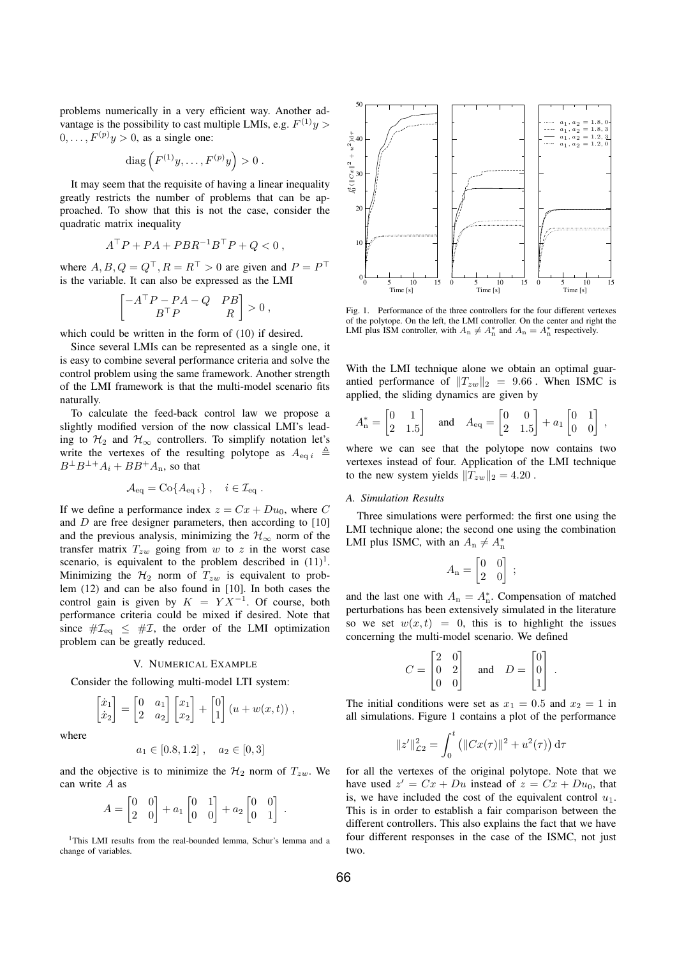problems numerically in a very efficient way. Another advantage is the possibility to cast multiple LMIs, e.g.  $F^{(1)}y$  $0, \ldots, F^{(p)}y > 0$ , as a single one:

diag 
$$
(F^{(1)}y, \ldots, F^{(p)}y) > 0
$$
.

It may seem that the requisite of having a linear inequality greatly restricts the number of problems that can be approached. To show that this is not the case, consider the quadratic matrix inequality

$$
A^{\top}P + PA + PBR^{-1}B^{\top}P + Q < 0 \;,
$$

where  $A, B, Q = Q^{\top}, R = R^{\top} > 0$  are given and  $P = P^{\top}$ is the variable. It can also be expressed as the LMI

$$
\begin{bmatrix} -A^\top P - PA - Q & PB \\ B^\top P & R \end{bmatrix} > 0,
$$

which could be written in the form of (10) if desired.

Since several LMIs can be represented as a single one, it is easy to combine several performance criteria and solve the control problem using the same framework. Another strength of the LMI framework is that the multi-model scenario fits naturally.

To calculate the feed-back control law we propose a slightly modified version of the now classical LMI's leading to  $H_2$  and  $H_{\infty}$  controllers. To simplify notation let's write the vertexes of the resulting polytope as  $A_{eq i} \triangleq$  $B^{\perp}B^{\perp+}A_i + BB^{\perp}A_n$ , so that

$$
\mathcal{A}_{\text{eq}} = \text{Co}\{A_{\text{eq }i}\}, \quad i \in \mathcal{I}_{\text{eq}}.
$$

If we define a performance index  $z = Cx + Du_0$ , where C and  $D$  are free designer parameters, then according to  $[10]$ and the previous analysis, minimizing the  $\mathcal{H}_{\infty}$  norm of the transfer matrix  $T_{zw}$  going from w to z in the worst case scenario, is equivalent to the problem described in  $(11)^1$ . Minimizing the  $\mathcal{H}_2$  norm of  $T_{zw}$  is equivalent to problem (12) and can be also found in [10]. In both cases the control gain is given by  $K = Y X^{-1}$ . Of course, both performance criteria could be mixed if desired. Note that since  $\# \mathcal{I}_{eq} \leq \# \mathcal{I}$ , the order of the LMI optimization problem can be greatly reduced.

## V. NUMERICAL EXAMPLE

Consider the following multi-model LTI system:

$$
\begin{bmatrix} \dot{x}_1 \\ \dot{x}_2 \end{bmatrix} = \begin{bmatrix} 0 & a_1 \\ 2 & a_2 \end{bmatrix} \begin{bmatrix} x_1 \\ x_2 \end{bmatrix} + \begin{bmatrix} 0 \\ 1 \end{bmatrix} (u + w(x, t)),
$$

where

$$
a_1 \in [0.8, 1.2], \quad a_2 \in [0, 3]
$$

and the objective is to minimize the  $\mathcal{H}_2$  norm of  $T_{zw}$ . We can write A as

$$
A = \begin{bmatrix} 0 & 0 \\ 2 & 0 \end{bmatrix} + a_1 \begin{bmatrix} 0 & 1 \\ 0 & 0 \end{bmatrix} + a_2 \begin{bmatrix} 0 & 0 \\ 0 & 1 \end{bmatrix}.
$$

<sup>1</sup>This LMI results from the real-bounded lemma, Schur's lemma and a change of variables.



Fig. 1. Performance of the three controllers for the four different vertexes of the polytope. On the left, the LMI controller. On the center and right the LMI plus ISM controller, with  $A_n \neq A_n^*$  and  $A_n = A_n^*$  respectively.

With the LMI technique alone we obtain an optimal guarantied performance of  $||T_{zw}||_2 = 9.66$ . When ISMC is applied, the sliding dynamics are given by

$$
A_n^* = \begin{bmatrix} 0 & 1 \\ 2 & 1.5 \end{bmatrix} \quad \text{and} \quad A_{\text{eq}} = \begin{bmatrix} 0 & 0 \\ 2 & 1.5 \end{bmatrix} + a_1 \begin{bmatrix} 0 & 1 \\ 0 & 0 \end{bmatrix} \,,
$$

where we can see that the polytope now contains two vertexes instead of four. Application of the LMI technique to the new system yields  $||T_{zw}||_2 = 4.20$ .

# *A. Simulation Results*

Three simulations were performed: the first one using the LMI technique alone; the second one using the combination LMI plus ISMC, with an  $A_n \neq A_n^*$ 

$$
A_{\mathbf{n}} = \begin{bmatrix} 0 & 0 \\ 2 & 0 \end{bmatrix} ;
$$

and the last one with  $A_n = A_n^*$ . Compensation of matched perturbations has been extensively simulated in the literature so we set  $w(x, t) = 0$ , this is to highlight the issues concerning the multi-model scenario. We defined

$$
C = \begin{bmatrix} 2 & 0 \\ 0 & 2 \\ 0 & 0 \end{bmatrix} \quad \text{and} \quad D = \begin{bmatrix} 0 \\ 0 \\ 1 \end{bmatrix}.
$$

The initial conditions were set as  $x_1 = 0.5$  and  $x_2 = 1$  in all simulations. Figure 1 contains a plot of the performance

$$
||z'||_{\mathcal{L}2}^2 = \int_0^t (||Cx(\tau)||^2 + u^2(\tau)) d\tau
$$

for all the vertexes of the original polytope. Note that we have used  $z' = Cx + Du$  instead of  $z = Cx + Du_0$ , that is, we have included the cost of the equivalent control  $u_1$ . This is in order to establish a fair comparison between the different controllers. This also explains the fact that we have four different responses in the case of the ISMC, not just two.